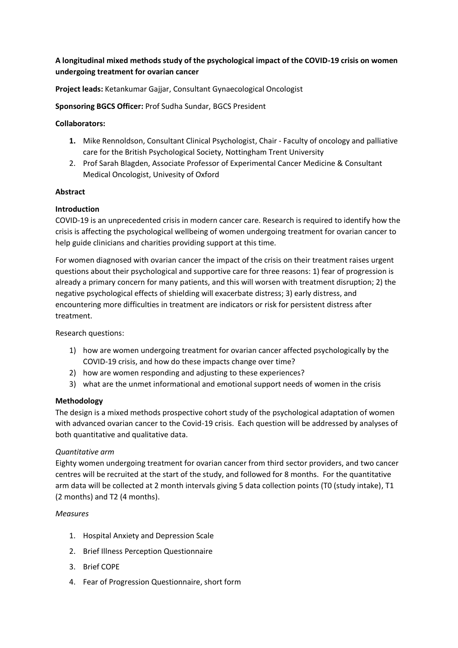# **A longitudinal mixed methods study of the psychological impact of the COVID-19 crisis on women undergoing treatment for ovarian cancer**

**Project leads:** Ketankumar Gajjar, Consultant Gynaecological Oncologist

**Sponsoring BGCS Officer:** Prof Sudha Sundar, BGCS President

### **Collaborators:**

- **1.** Mike Rennoldson, Consultant Clinical Psychologist, Chair Faculty of oncology and palliative care for the British Psychological Society, Nottingham Trent University
- 2. Prof Sarah Blagden, Associate Professor of Experimental Cancer Medicine & Consultant Medical Oncologist, Univesity of Oxford

## **Abstract**

## **Introduction**

COVID-19 is an unprecedented crisis in modern cancer care. Research is required to identify how the crisis is affecting the psychological wellbeing of women undergoing treatment for ovarian cancer to help guide clinicians and charities providing support at this time.

For women diagnosed with ovarian cancer the impact of the crisis on their treatment raises urgent questions about their psychological and supportive care for three reasons: 1) fear of progression is already a primary concern for many patients, and this will worsen with treatment disruption; 2) the negative psychological effects of shielding will exacerbate distress; 3) early distress, and encountering more difficulties in treatment are indicators or risk for persistent distress after treatment.

Research questions:

- 1) how are women undergoing treatment for ovarian cancer affected psychologically by the COVID-19 crisis, and how do these impacts change over time?
- 2) how are women responding and adjusting to these experiences?
- 3) what are the unmet informational and emotional support needs of women in the crisis

#### **Methodology**

The design is a mixed methods prospective cohort study of the psychological adaptation of women with advanced ovarian cancer to the Covid-19 crisis. Each question will be addressed by analyses of both quantitative and qualitative data.

#### *Quantitative arm*

Eighty women undergoing treatment for ovarian cancer from third sector providers, and two cancer centres will be recruited at the start of the study, and followed for 8 months. For the quantitative arm data will be collected at 2 month intervals giving 5 data collection points (T0 (study intake), T1 (2 months) and T2 (4 months).

#### *Measures*

- 1. Hospital Anxiety and Depression Scale
- 2. Brief Illness Perception Questionnaire
- 3. Brief COPE
- 4. Fear of Progression Questionnaire, short form